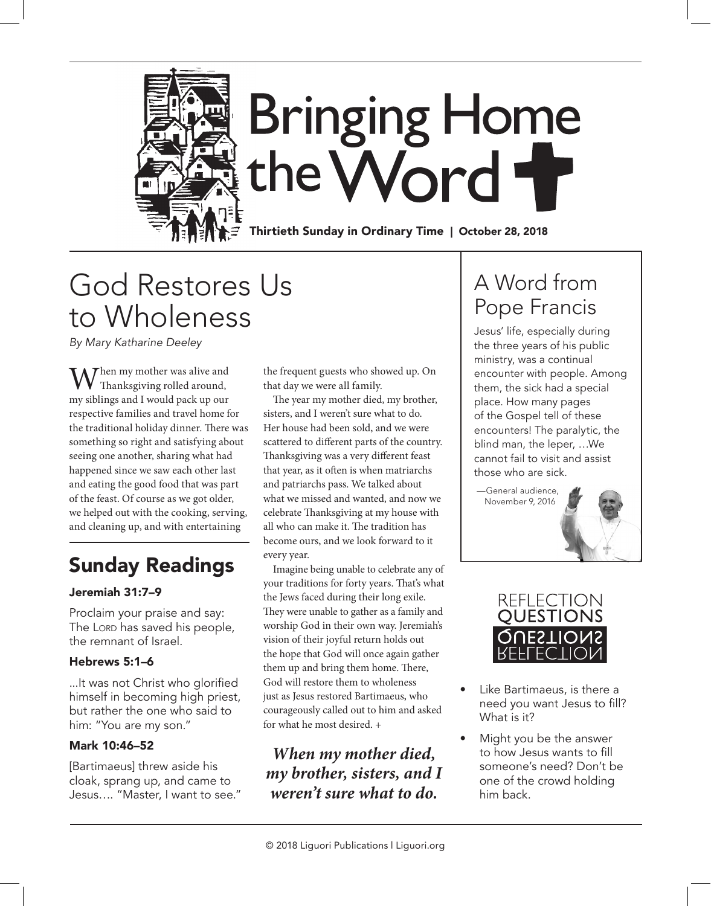

## God Restores Us to Wholeness

*By Mary Katharine Deeley*

Then my mother was alive and Thanksgiving rolled around, my siblings and I would pack up our respective families and travel home for the traditional holiday dinner. There was something so right and satisfying about seeing one another, sharing what had happened since we saw each other last and eating the good food that was part of the feast. Of course as we got older, we helped out with the cooking, serving, and cleaning up, and with entertaining

### Sunday Readings

### Jeremiah 31:7–9

Proclaim your praise and say: The Lorp has saved his people, the remnant of Israel.

### Hebrews 5:1–6

...It was not Christ who glorified himself in becoming high priest, but rather the one who said to him: "You are my son."

### Mark 10:46–52

[Bartimaeus] threw aside his cloak, sprang up, and came to Jesus…. "Master, I want to see." the frequent guests who showed up. On that day we were all family.

The year my mother died, my brother, sisters, and I weren't sure what to do. Her house had been sold, and we were scattered to different parts of the country. Thanksgiving was a very different feast that year, as it often is when matriarchs and patriarchs pass. We talked about what we missed and wanted, and now we celebrate Thanksgiving at my house with all who can make it. The tradition has become ours, and we look forward to it every year.

Imagine being unable to celebrate any of your traditions for forty years. That's what the Jews faced during their long exile. They were unable to gather as a family and worship God in their own way. Jeremiah's vision of their joyful return holds out the hope that God will once again gather them up and bring them home. There, God will restore them to wholeness just as Jesus restored Bartimaeus, who courageously called out to him and asked for what he most desired. +

*When my mother died, my brother, sisters, and I weren't sure what to do.*

### A Word from Pope Francis

Jesus' life, especially during the three years of his public ministry, was a continual encounter with people. Among them, the sick had a special place. How many pages of the Gospel tell of these encounters! The paralytic, the blind man, the leper, …We cannot fail to visit and assist those who are sick.

—General audience, November 9, 2016



- Like Bartimaeus, is there a need you want Jesus to fill? What is it?
- Might you be the answer to how Jesus wants to fill someone's need? Don't be one of the crowd holding him back.